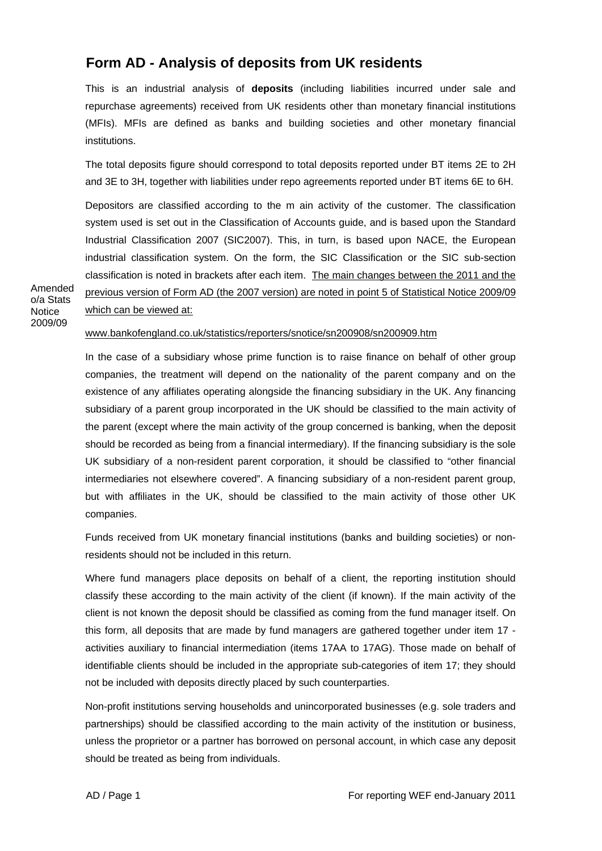## **Form AD - Analysis of deposits from UK residents**

This is an industrial analysis of **deposits** (including liabilities incurred under sale and repurchase agreements) received from UK residents other than monetary financial institutions (MFIs). MFIs are defined as banks and building societies and other monetary financial institutions.

The total deposits figure should correspond to total deposits reported under BT items 2E to 2H and 3E to 3H, together with liabilities under repo agreements reported under BT items 6E to 6H.

Depositors are classified according to the m ain activity of the customer. The classification system used is set out in the Classification of Accounts guide, and is based upon the Standard Industrial Classification 2007 (SIC2007). This, in turn, is based upon NACE, the European industrial classification system. On the form, the SIC Classification or the SIC sub-section classification is noted in brackets after each item. The main changes between the 2011 and the previous version of Form AD (the 2007 version) are noted in point 5 of Statistical Notice 2009/09

Amended o/a Stats **Notice** 2009/09

## which can be viewed at:

## www.bankofengland.co.uk/statistics/reporters/snotice/sn200908/sn200909.htm

In the case of a subsidiary whose prime function is to raise finance on behalf of other group companies, the treatment will depend on the nationality of the parent company and on the existence of any affiliates operating alongside the financing subsidiary in the UK. Any financing subsidiary of a parent group incorporated in the UK should be classified to the main activity of the parent (except where the main activity of the group concerned is banking, when the deposit should be recorded as being from a financial intermediary). If the financing subsidiary is the sole UK subsidiary of a non-resident parent corporation, it should be classified to "other financial intermediaries not elsewhere covered". A financing subsidiary of a non-resident parent group, but with affiliates in the UK, should be classified to the main activity of those other UK companies.

Funds received from UK monetary financial institutions (banks and building societies) or nonresidents should not be included in this return.

Where fund managers place deposits on behalf of a client, the reporting institution should classify these according to the main activity of the client (if known). If the main activity of the client is not known the deposit should be classified as coming from the fund manager itself. On this form, all deposits that are made by fund managers are gathered together under item 17 activities auxiliary to financial intermediation (items 17AA to 17AG). Those made on behalf of identifiable clients should be included in the appropriate sub-categories of item 17; they should not be included with deposits directly placed by such counterparties.

Non-profit institutions serving households and unincorporated businesses (e.g. sole traders and partnerships) should be classified according to the main activity of the institution or business, unless the proprietor or a partner has borrowed on personal account, in which case any deposit should be treated as being from individuals.